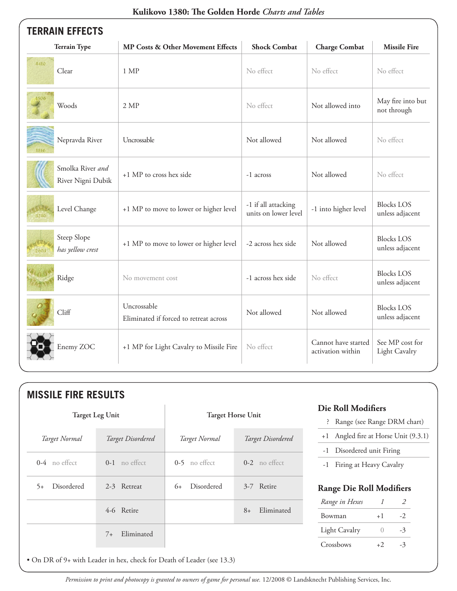| <b>TERRAIN EFFECTS</b>                  |                                                       |                                             |                                          |                                      |  |  |
|-----------------------------------------|-------------------------------------------------------|---------------------------------------------|------------------------------------------|--------------------------------------|--|--|
| <b>Terrain Type</b>                     | <b>MP Costs &amp; Other Movement Effects</b>          | <b>Shock Combat</b>                         | <b>Charge Combat</b>                     | <b>Missile Fire</b>                  |  |  |
| 4410<br>Clear                           | 1 MP                                                  | No effect                                   | No effect                                | No effect                            |  |  |
| 4506<br>Woods                           | 2 MP                                                  | No effect                                   | Not allowed into                         | May fire into but<br>not through     |  |  |
| Nepravda River<br>1816                  | Uncrossable                                           | Not allowed                                 | Not allowed                              | No effect                            |  |  |
| Smolka River and<br>River Nigni Dubik   | +1 MP to cross hex side                               | -1 across                                   | Not allowed                              | No effect                            |  |  |
| Level Change<br>3310                    | +1 MP to move to lower or higher level                | -1 if all attacking<br>units on lower level | -1 into higher level                     | <b>Blocks LOS</b><br>unless adjacent |  |  |
| Steep Slope<br>has yellow crest<br>2003 | +1 MP to move to lower or higher level                | -2 across hex side                          | Not allowed                              | <b>Blocks LOS</b><br>unless adjacent |  |  |
| Ridge                                   | No movement cost                                      | -1 across hex side                          | No effect                                | <b>Blocks LOS</b><br>unless adjacent |  |  |
| Cliff                                   | Uncrossable<br>Eliminated if forced to retreat across | Not allowed                                 | Not allowed                              | <b>Blocks LOS</b><br>unless adjacent |  |  |
| Enemy ZOC                               | +1 MP for Light Cavalry to Missile Fire               | No effect                                   | Cannot have started<br>activation within | See MP cost for<br>Light Cavalry     |  |  |

#### **Kulikovo 1380: The Golden Horde** *Charts and Tables*

| <b>Target Leg Unit</b> |                    | <b>Target Horse Unit</b> |                    | <b>Die Roll Modifiers</b><br>Range (see Range DRM chart)<br>š.    |                |      |
|------------------------|--------------------|--------------------------|--------------------|-------------------------------------------------------------------|----------------|------|
| Target Normal          | Target Disordered  | Target Normal            | Target Disordered  | +1 Angled fire at Horse Unit (9.3.1)<br>-1 Disordered unit Firing |                |      |
| $0-4$ no effect        | $0-1$ no effect    | $0-5$ no effect          | $0-2$ no effect    | Firing at Heavy Cavalry<br>$-1$                                   |                |      |
| Disordered<br>$5+$     | 2-3 Retreat        | Disordered<br>$6+$       | 3-7 Retire         | <b>Range Die Roll Modifiers</b>                                   |                |      |
|                        |                    |                          | Eliminated<br>$8+$ | Range in Hexes                                                    | 1              | 2    |
|                        | 4-6 Retire         |                          |                    | Bowman                                                            | $+1$           | $-2$ |
|                        | Eliminated<br>$7+$ |                          |                    | <b>Light Cavalry</b>                                              | $\overline{0}$ | $-3$ |
|                        |                    |                          |                    | Crossbows                                                         | $+2$           | $-3$ |

• On DR of 9+ with Leader in hex, check for Death of Leader (see 13.3)

*Permission to print and photocopy is granted to owners of game for personal use.* 12/2008 © Landsknecht Publishing Services, Inc.